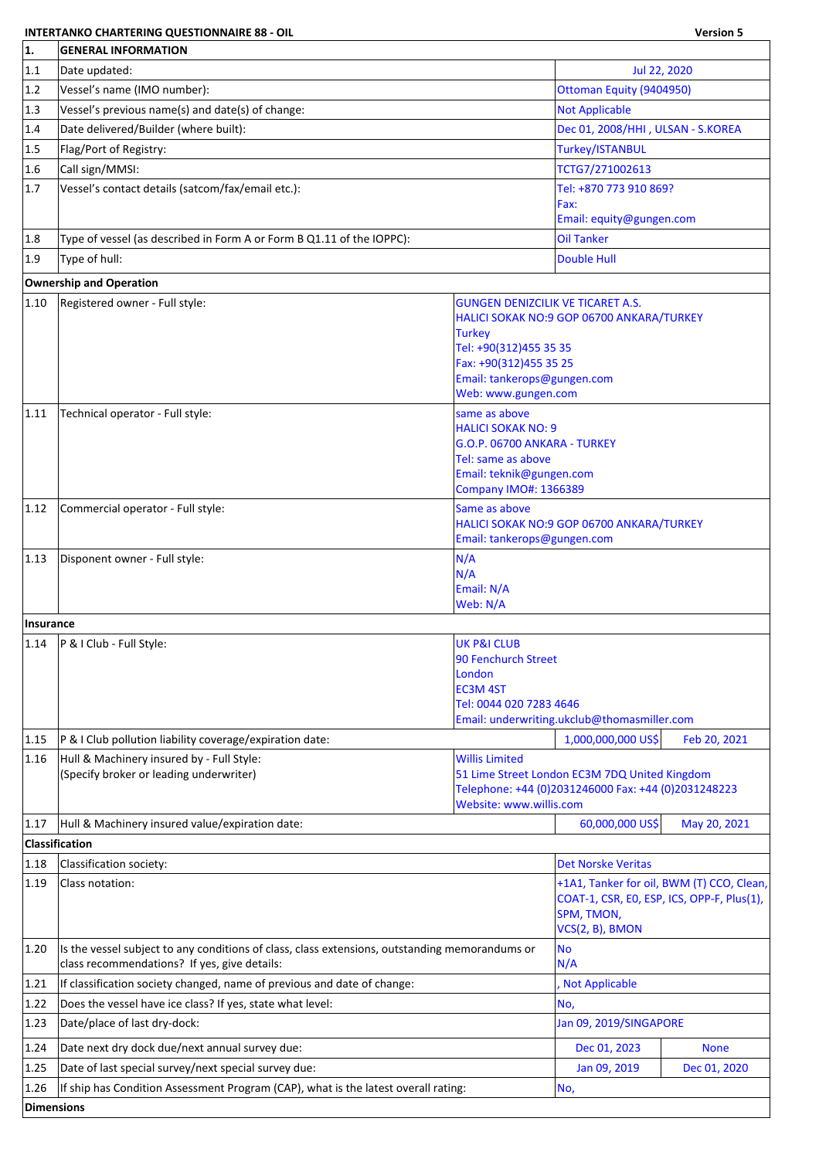## **INTERTANKO CHARTERING QUESTIONNAIRE 88 - OIL Version 5**

| 1.             | <b>GENERAL INFORMATION</b>                                                                     |                                                           |                                                                                                      |                                            |  |
|----------------|------------------------------------------------------------------------------------------------|-----------------------------------------------------------|------------------------------------------------------------------------------------------------------|--------------------------------------------|--|
| 1.1            | Date updated:                                                                                  |                                                           | Jul 22, 2020                                                                                         |                                            |  |
| 1.2            | Vessel's name (IMO number):                                                                    |                                                           | Ottoman Equity (9404950)                                                                             |                                            |  |
| 1.3            | Vessel's previous name(s) and date(s) of change:                                               |                                                           | <b>Not Applicable</b>                                                                                |                                            |  |
| 1.4            | Date delivered/Builder (where built):                                                          |                                                           | Dec 01, 2008/HHI, ULSAN - S.KOREA                                                                    |                                            |  |
| 1.5            | Flag/Port of Registry:                                                                         |                                                           | <b>Turkey/ISTANBUL</b>                                                                               |                                            |  |
| 1.6            | Call sign/MMSI:                                                                                |                                                           | TCTG7/271002613                                                                                      |                                            |  |
| 1.7            | Vessel's contact details (satcom/fax/email etc.):                                              |                                                           | Tel: +870 773 910 869?                                                                               |                                            |  |
|                |                                                                                                |                                                           | Fax:<br>Email: equity@gungen.com                                                                     |                                            |  |
| 1.8            | Type of vessel (as described in Form A or Form B Q1.11 of the IOPPC):                          |                                                           | <b>Oil Tanker</b>                                                                                    |                                            |  |
| 1.9            | Type of hull:                                                                                  |                                                           | Double Hull                                                                                          |                                            |  |
|                | <b>Ownership and Operation</b>                                                                 |                                                           |                                                                                                      |                                            |  |
| $ 1.10\rangle$ | Registered owner - Full style:                                                                 | <b>GUNGEN DENIZCILIK VE TICARET A.S.</b>                  |                                                                                                      |                                            |  |
|                |                                                                                                |                                                           | HALICI SOKAK NO:9 GOP 06700 ANKARA/TURKEY                                                            |                                            |  |
|                |                                                                                                | <b>Turkey</b>                                             |                                                                                                      |                                            |  |
|                |                                                                                                | Tel: +90(312)455 35 35<br>Fax: +90(312)455 35 25          |                                                                                                      |                                            |  |
|                |                                                                                                | Email: tankerops@gungen.com                               |                                                                                                      |                                            |  |
|                |                                                                                                | Web: www.gungen.com                                       |                                                                                                      |                                            |  |
| 1.11           | Technical operator - Full style:                                                               | same as above                                             |                                                                                                      |                                            |  |
|                |                                                                                                | <b>HALICI SOKAK NO: 9</b><br>G.O.P. 06700 ANKARA - TURKEY |                                                                                                      |                                            |  |
|                |                                                                                                | Tel: same as above                                        |                                                                                                      |                                            |  |
|                |                                                                                                | Email: teknik@gungen.com                                  |                                                                                                      |                                            |  |
|                |                                                                                                | <b>Company IMO#: 1366389</b>                              |                                                                                                      |                                            |  |
| 1.12           | Commercial operator - Full style:                                                              | Same as above                                             | HALICI SOKAK NO:9 GOP 06700 ANKARA/TURKEY                                                            |                                            |  |
|                |                                                                                                | Email: tankerops@gungen.com                               |                                                                                                      |                                            |  |
| 1.13           | Disponent owner - Full style:                                                                  | N/A                                                       |                                                                                                      |                                            |  |
|                |                                                                                                | N/A                                                       |                                                                                                      |                                            |  |
|                |                                                                                                | Email: N/A<br>Web: N/A                                    |                                                                                                      |                                            |  |
| Insurance      |                                                                                                |                                                           |                                                                                                      |                                            |  |
| 1.14           | P & I Club - Full Style:                                                                       | <b>UK P&amp;I CLUB</b>                                    |                                                                                                      |                                            |  |
|                |                                                                                                | 90 Fenchurch Street                                       |                                                                                                      |                                            |  |
|                |                                                                                                | London<br><b>EC3M4ST</b>                                  |                                                                                                      |                                            |  |
|                |                                                                                                | Tel: 0044 020 7283 4646                                   |                                                                                                      |                                            |  |
|                |                                                                                                |                                                           | Email: underwriting.ukclub@thomasmiller.com                                                          |                                            |  |
| 1.15           | P & I Club pollution liability coverage/expiration date:                                       |                                                           | 1,000,000,000 US\$                                                                                   | Feb 20, 2021                               |  |
| 1.16           | Hull & Machinery insured by - Full Style:<br>(Specify broker or leading underwriter)           | <b>Willis Limited</b>                                     |                                                                                                      |                                            |  |
|                |                                                                                                |                                                           | 51 Lime Street London EC3M 7DQ United Kingdom<br>Telephone: +44 (0)2031246000 Fax: +44 (0)2031248223 |                                            |  |
|                |                                                                                                | Website: www.willis.com                                   |                                                                                                      |                                            |  |
| 1.17           | Hull & Machinery insured value/expiration date:                                                |                                                           | 60,000,000 US\$                                                                                      | May 20, 2021                               |  |
|                | Classification                                                                                 |                                                           |                                                                                                      |                                            |  |
| 1.18           | Classification society:                                                                        |                                                           | <b>Det Norske Veritas</b>                                                                            |                                            |  |
| 1.19           | Class notation:                                                                                |                                                           |                                                                                                      | +1A1, Tanker for oil, BWM (T) CCO, Clean,  |  |
|                |                                                                                                |                                                           | SPM, TMON,                                                                                           | COAT-1, CSR, EO, ESP, ICS, OPP-F, Plus(1), |  |
|                |                                                                                                |                                                           | VCS(2, B), BMON                                                                                      |                                            |  |
| 1.20           | Is the vessel subject to any conditions of class, class extensions, outstanding memorandums or |                                                           | N <sub>o</sub>                                                                                       |                                            |  |
|                | class recommendations? If yes, give details:                                                   |                                                           | N/A                                                                                                  |                                            |  |
| 1.21           | If classification society changed, name of previous and date of change:                        |                                                           | Not Applicable                                                                                       |                                            |  |
| 1.22           | Does the vessel have ice class? If yes, state what level:                                      |                                                           | No,                                                                                                  |                                            |  |
| 1.23           | Date/place of last dry-dock:                                                                   |                                                           | Jan 09, 2019/SINGAPORE                                                                               |                                            |  |
| 1.24           | Date next dry dock due/next annual survey due:                                                 |                                                           | Dec 01, 2023                                                                                         | <b>None</b>                                |  |
| 1.25           | Date of last special survey/next special survey due:                                           |                                                           | Jan 09, 2019                                                                                         | Dec 01, 2020                               |  |
| 1.26           | If ship has Condition Assessment Program (CAP), what is the latest overall rating:             |                                                           | No,                                                                                                  |                                            |  |
| Dimensions     |                                                                                                |                                                           |                                                                                                      |                                            |  |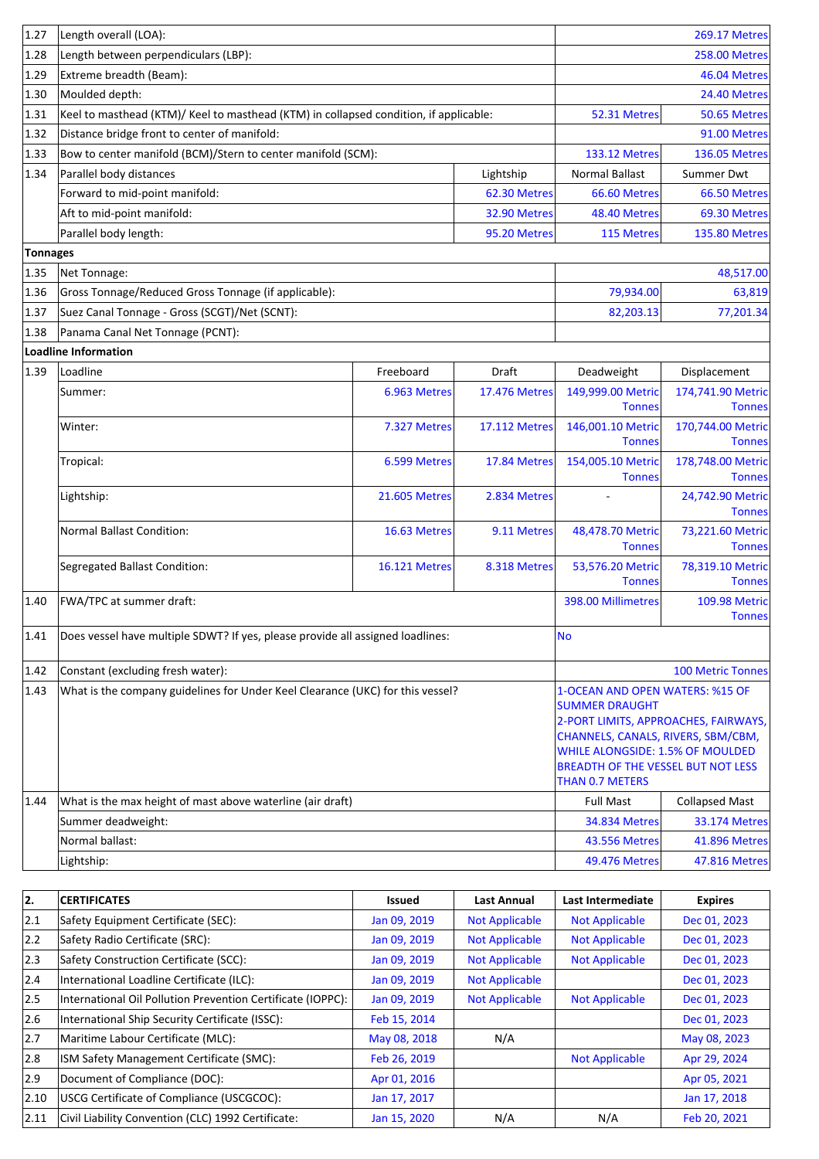| 1.27            | Length overall (LOA):                                                                 |                                                                                      |                      | <b>269.17 Metres</b>                                                                             |                                       |
|-----------------|---------------------------------------------------------------------------------------|--------------------------------------------------------------------------------------|----------------------|--------------------------------------------------------------------------------------------------|---------------------------------------|
| 1.28            | Length between perpendiculars (LBP):                                                  | <b>258.00 Metres</b>                                                                 |                      |                                                                                                  |                                       |
| 1.29            | Extreme breadth (Beam):                                                               |                                                                                      | 46.04 Metres         |                                                                                                  |                                       |
| 1.30            | Moulded depth:                                                                        |                                                                                      |                      |                                                                                                  | 24.40 Metres                          |
| 1.31            | Keel to masthead (KTM)/ Keel to masthead (KTM) in collapsed condition, if applicable: |                                                                                      |                      | 52.31 Metres                                                                                     | 50.65 Metres                          |
| 1.32            | Distance bridge front to center of manifold:                                          |                                                                                      |                      |                                                                                                  | 91.00 Metres                          |
| 1.33            | Bow to center manifold (BCM)/Stern to center manifold (SCM):                          |                                                                                      |                      | <b>133.12 Metres</b>                                                                             | <b>136.05 Metres</b>                  |
| 1.34            | Parallel body distances                                                               |                                                                                      | Lightship            | <b>Normal Ballast</b>                                                                            | Summer Dwt                            |
|                 | Forward to mid-point manifold:                                                        |                                                                                      | 62.30 Metres         | 66.60 Metres                                                                                     | 66.50 Metres                          |
|                 | Aft to mid-point manifold:                                                            |                                                                                      | 32.90 Metres         | 48.40 Metres                                                                                     | 69.30 Metres                          |
|                 | Parallel body length:                                                                 |                                                                                      | 95.20 Metres         | 115 Metres                                                                                       | <b>135.80 Metres</b>                  |
| <b>Tonnages</b> |                                                                                       |                                                                                      |                      |                                                                                                  |                                       |
| 1.35            | Net Tonnage:                                                                          |                                                                                      |                      |                                                                                                  | 48,517.00                             |
| 1.36            | Gross Tonnage/Reduced Gross Tonnage (if applicable):                                  |                                                                                      |                      | 79,934.00                                                                                        | 63,819                                |
| 1.37            | Suez Canal Tonnage - Gross (SCGT)/Net (SCNT):                                         |                                                                                      |                      | 82,203.13                                                                                        | 77,201.34                             |
| 1.38            | Panama Canal Net Tonnage (PCNT):                                                      |                                                                                      |                      |                                                                                                  |                                       |
|                 | <b>Loadline Information</b>                                                           |                                                                                      |                      |                                                                                                  |                                       |
| 1.39            | Loadline                                                                              | Freeboard                                                                            | Draft                | Deadweight                                                                                       | Displacement                          |
|                 | Summer:                                                                               | 6.963 Metres                                                                         | <b>17.476 Metres</b> | 149,999.00 Metric<br><b>Tonnes</b>                                                               | 174,741.90 Metric<br><b>Tonnes</b>    |
|                 | Winter:                                                                               | 7.327 Metres                                                                         | <b>17.112 Metres</b> | 146,001.10 Metric<br><b>Tonnes</b>                                                               | 170,744.00 Metric<br><b>Tonnes</b>    |
|                 | Tropical:                                                                             | 6.599 Metres                                                                         | 17.84 Metres         | 154,005.10 Metric<br><b>Tonnes</b>                                                               | 178,748.00 Metric<br><b>Tonnes</b>    |
|                 | Lightship:                                                                            | <b>21.605 Metres</b>                                                                 | 2.834 Metres         |                                                                                                  | 24,742.90 Metric<br><b>Tonnes</b>     |
|                 | <b>Normal Ballast Condition:</b>                                                      | 16.63 Metres                                                                         | 9.11 Metres          | 48,478.70 Metric<br><b>Tonnes</b>                                                                | 73,221.60 Metric<br><b>Tonnes</b>     |
|                 | Segregated Ballast Condition:                                                         | <b>16.121 Metres</b>                                                                 | 8.318 Metres         | 53,576.20 Metric<br><b>Tonnes</b>                                                                | 78,319.10 Metric<br><b>Tonnes</b>     |
| 1.40            | FWA/TPC at summer draft:                                                              |                                                                                      |                      | 398.00 Millimetres                                                                               | <b>109.98 Metric</b><br><b>Tonnes</b> |
| 1.41            | Does vessel have multiple SDWT? If yes, please provide all assigned loadlines:        |                                                                                      |                      | <b>No</b>                                                                                        |                                       |
| 1.42            | Constant (excluding fresh water):                                                     |                                                                                      |                      |                                                                                                  | <b>100 Metric Tonnes</b>              |
| 1.43            | What is the company guidelines for Under Keel Clearance (UKC) for this vessel?        |                                                                                      |                      | 1-OCEAN AND OPEN WATERS: %15 OF<br><b>SUMMER DRAUGHT</b><br>2-PORT LIMITS, APPROACHES, FAIRWAYS, |                                       |
|                 |                                                                                       | CHANNELS, CANALS, RIVERS, SBM/CBM,                                                   |                      |                                                                                                  |                                       |
|                 |                                                                                       | <b>WHILE ALONGSIDE: 1.5% OF MOULDED</b><br><b>BREADTH OF THE VESSEL BUT NOT LESS</b> |                      |                                                                                                  |                                       |
|                 |                                                                                       |                                                                                      |                      | <b>THAN 0.7 METERS</b>                                                                           |                                       |
| 1.44            | What is the max height of mast above waterline (air draft)                            |                                                                                      |                      | <b>Full Mast</b>                                                                                 | <b>Collapsed Mast</b>                 |
|                 | Summer deadweight:                                                                    |                                                                                      |                      | <b>34.834 Metres</b>                                                                             | <b>33.174 Metres</b>                  |
|                 | Normal ballast:                                                                       |                                                                                      |                      | 43.556 Metres                                                                                    | 41.896 Metres                         |
|                 | Lightship:                                                                            |                                                                                      |                      | 49.476 Metres                                                                                    | <b>47.816 Metres</b>                  |

| 2.            | <b>CERTIFICATES</b>                                         | <b>Issued</b> | Last Annual           | Last Intermediate     | <b>Expires</b> |
|---------------|-------------------------------------------------------------|---------------|-----------------------|-----------------------|----------------|
| 2.1           | Safety Equipment Certificate (SEC):                         | Jan 09, 2019  | <b>Not Applicable</b> | <b>Not Applicable</b> | Dec 01, 2023   |
| 2.2           | Safety Radio Certificate (SRC):                             | Jan 09, 2019  | <b>Not Applicable</b> | <b>Not Applicable</b> | Dec 01, 2023   |
| $ 2.3\rangle$ | Safety Construction Certificate (SCC):                      | Jan 09, 2019  | <b>Not Applicable</b> | <b>Not Applicable</b> | Dec 01, 2023   |
| 2.4           | International Loadline Certificate (ILC):                   | Jan 09, 2019  | <b>Not Applicable</b> |                       | Dec 01, 2023   |
| 2.5           | International Oil Pollution Prevention Certificate (IOPPC): | Jan 09, 2019  | <b>Not Applicable</b> | <b>Not Applicable</b> | Dec 01, 2023   |
| 2.6           | International Ship Security Certificate (ISSC):             | Feb 15, 2014  |                       |                       | Dec 01, 2023   |
| 2.7           | Maritime Labour Certificate (MLC):                          | May 08, 2018  | N/A                   |                       | May 08, 2023   |
| 12.8          | ISM Safety Management Certificate (SMC):                    | Feb 26, 2019  |                       | <b>Not Applicable</b> | Apr 29, 2024   |
| 2.9           | Document of Compliance (DOC):                               | Apr 01, 2016  |                       |                       | Apr 05, 2021   |
| 2.10          | USCG Certificate of Compliance (USCGCOC):                   | Jan 17, 2017  |                       |                       | Jan 17, 2018   |
| 2.11          | Civil Liability Convention (CLC) 1992 Certificate:          | Jan 15, 2020  | N/A                   | N/A                   | Feb 20, 2021   |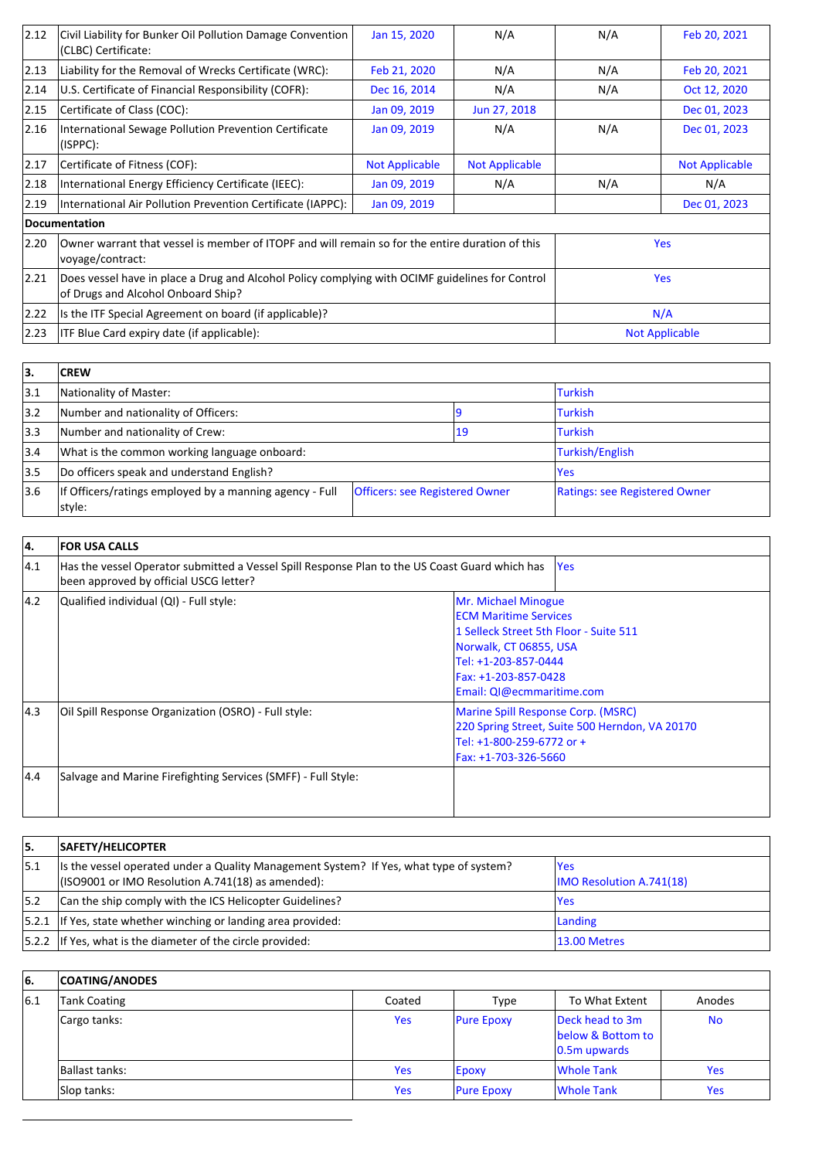| 2.12           | Civil Liability for Bunker Oil Pollution Damage Convention<br>(CLBC) Certificate:                                                     | Jan 15, 2020          | N/A                   | N/A                   | Feb 20, 2021          |
|----------------|---------------------------------------------------------------------------------------------------------------------------------------|-----------------------|-----------------------|-----------------------|-----------------------|
| $ 2.13\rangle$ | Liability for the Removal of Wrecks Certificate (WRC):                                                                                | Feb 21, 2020          | N/A                   | N/A                   | Feb 20, 2021          |
| 2.14           | U.S. Certificate of Financial Responsibility (COFR):                                                                                  | Dec 16, 2014          | N/A                   | N/A                   | Oct 12, 2020          |
| 2.15           | Certificate of Class (COC):                                                                                                           | Jan 09, 2019          | Jun 27, 2018          |                       | Dec 01, 2023          |
| 2.16           | International Sewage Pollution Prevention Certificate<br>(ISPPC):                                                                     | Jan 09, 2019          | N/A                   | N/A                   | Dec 01, 2023          |
| 2.17           | Certificate of Fitness (COF):                                                                                                         | <b>Not Applicable</b> | <b>Not Applicable</b> |                       | <b>Not Applicable</b> |
| 2.18           | International Energy Efficiency Certificate (IEEC):                                                                                   | Jan 09, 2019          | N/A                   | N/A                   | N/A                   |
| $ 2.19\rangle$ | International Air Pollution Prevention Certificate (IAPPC):                                                                           | Jan 09, 2019          |                       |                       | Dec 01, 2023          |
|                | Documentation                                                                                                                         |                       |                       |                       |                       |
| 2.20           | Owner warrant that vessel is member of ITOPF and will remain so for the entire duration of this<br>voyage/contract:                   |                       |                       |                       | <b>Yes</b>            |
| 2.21           | Does vessel have in place a Drug and Alcohol Policy complying with OCIMF guidelines for Control<br>of Drugs and Alcohol Onboard Ship? |                       |                       |                       | <b>Yes</b>            |
| $ 2.22\rangle$ | Is the ITF Special Agreement on board (if applicable)?                                                                                |                       |                       |                       | N/A                   |
| 2.23           | ITF Blue Card expiry date (if applicable):                                                                                            |                       |                       | <b>Not Applicable</b> |                       |

| 13.  | <b>CREW</b>                                                       |                                       |    |                               |
|------|-------------------------------------------------------------------|---------------------------------------|----|-------------------------------|
| 3.1  | Nationality of Master:                                            |                                       |    | <b>Turkish</b>                |
| 3.2  | Number and nationality of Officers:                               |                                       |    | <b>Turkish</b>                |
| 3.3  | Number and nationality of Crew:                                   |                                       | 19 | <b>Turkish</b>                |
| 3.4  | What is the common working language onboard:                      |                                       |    | Turkish/English               |
| 3.5  | Do officers speak and understand English?                         |                                       |    | <b>Yes</b>                    |
| 13.6 | If Officers/ratings employed by a manning agency - Full<br>style: | <b>Officers: see Registered Owner</b> |    | Ratings: see Registered Owner |

| 4.            | <b>FOR USA CALLS</b>                                                                                                                     |                                                                                                                                                                                                      |
|---------------|------------------------------------------------------------------------------------------------------------------------------------------|------------------------------------------------------------------------------------------------------------------------------------------------------------------------------------------------------|
| 4.1           | Has the vessel Operator submitted a Vessel Spill Response Plan to the US Coast Guard which has<br>been approved by official USCG letter? | <b>Yes</b>                                                                                                                                                                                           |
| $ 4.2\rangle$ | Qualified individual (QI) - Full style:                                                                                                  | Mr. Michael Minogue<br><b>ECM Maritime Services</b><br>1 Selleck Street 5th Floor - Suite 511<br>Norwalk, CT 06855, USA<br>Tel: +1-203-857-0444<br>Fax: +1-203-857-0428<br>Email: QI@ecmmaritime.com |
| 4.3           | Oil Spill Response Organization (OSRO) - Full style:                                                                                     | Marine Spill Response Corp. (MSRC)<br>220 Spring Street, Suite 500 Herndon, VA 20170<br>Tel: +1-800-259-6772 or +<br>Fax: +1-703-326-5660                                                            |
| 4.4           | Salvage and Marine Firefighting Services (SMFF) - Full Style:                                                                            |                                                                                                                                                                                                      |

| 5.  | SAFETY/HELICOPTER                                                                                                                               |                                         |
|-----|-------------------------------------------------------------------------------------------------------------------------------------------------|-----------------------------------------|
| 5.1 | Its the vessel operated under a Quality Management System? If Yes, what type of system?<br>$($ ISO9001 or IMO Resolution A.741(18) as amended): | lYes<br><b>IMO Resolution A.741(18)</b> |
| 5.2 | Can the ship comply with the ICS Helicopter Guidelines?                                                                                         | lYes                                    |
|     | $ 5.2.1 $ If Yes, state whether winching or landing area provided:                                                                              | Landing                                 |
|     | 5.2.2 If Yes, what is the diameter of the circle provided:                                                                                      | 13.00 Metres                            |

| l6. | <b>COATING/ANODES</b> |            |                   |                                                         |           |
|-----|-----------------------|------------|-------------------|---------------------------------------------------------|-----------|
| 6.1 | Tank Coating          | Coated     | Type              | To What Extent                                          | Anodes    |
|     | Cargo tanks:          | <b>Yes</b> | <b>Pure Epoxy</b> | Deck head to 3m<br>below & Bottom to<br>$ 0.5m$ upwards | <b>No</b> |
|     | Ballast tanks:        | <b>Yes</b> | <b>Epoxy</b>      | <b>Whole Tank</b>                                       | Yes.      |
|     | Slop tanks:           | <b>Yes</b> | <b>Pure Epoxy</b> | <b>Whole Tank</b>                                       | Yes       |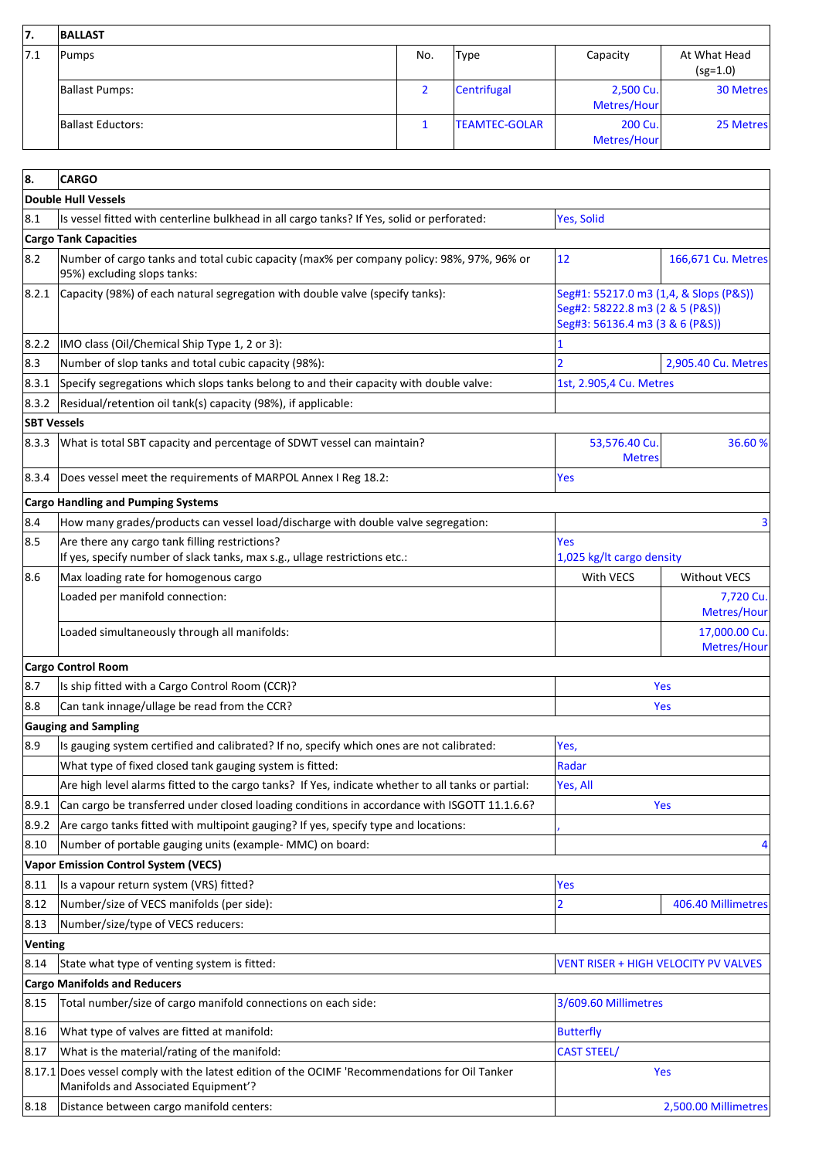| 17. | <b>BALLAST</b>    |     |                      |                          |                            |
|-----|-------------------|-----|----------------------|--------------------------|----------------------------|
| 7.1 | Pumps             | No. | <b>Type</b>          | Capacity                 | At What Head<br>$(sg=1.0)$ |
|     | Ballast Pumps:    | ∠   | Centrifugal          | 2,500 Cu.<br>Metres/Hour | <b>30 Metres</b>           |
|     | Ballast Eductors: |     | <b>TEAMTEC-GOLAR</b> | 200 Cu.<br>Metres/Hour   | 25 Metres                  |

| 8.                 | <b>CARGO</b>                                                                                                                           |                                                                                                              |                              |
|--------------------|----------------------------------------------------------------------------------------------------------------------------------------|--------------------------------------------------------------------------------------------------------------|------------------------------|
|                    | <b>Double Hull Vessels</b>                                                                                                             |                                                                                                              |                              |
| 8.1                | Is vessel fitted with centerline bulkhead in all cargo tanks? If Yes, solid or perforated:                                             | Yes, Solid                                                                                                   |                              |
|                    | <b>Cargo Tank Capacities</b>                                                                                                           |                                                                                                              |                              |
| 8.2                | Number of cargo tanks and total cubic capacity (max% per company policy: 98%, 97%, 96% or<br>95%) excluding slops tanks:               | 12                                                                                                           | 166,671 Cu. Metres           |
| 8.2.1              | Capacity (98%) of each natural segregation with double valve (specify tanks):                                                          | Seg#1: 55217.0 m3 (1,4, & Slops (P&S))<br>Seg#2: 58222.8 m3 (2 & 5 (P&S))<br>Seg#3: 56136.4 m3 (3 & 6 (P&S)) |                              |
| 8.2.2              | IMO class (Oil/Chemical Ship Type 1, 2 or 3):                                                                                          |                                                                                                              |                              |
| 8.3                | Number of slop tanks and total cubic capacity (98%):                                                                                   | $\overline{2}$                                                                                               | 2,905.40 Cu. Metres          |
| 8.3.1              | Specify segregations which slops tanks belong to and their capacity with double valve:                                                 | 1st, 2.905,4 Cu. Metres                                                                                      |                              |
| 8.3.2              | Residual/retention oil tank(s) capacity (98%), if applicable:                                                                          |                                                                                                              |                              |
| <b>SBT Vessels</b> |                                                                                                                                        |                                                                                                              |                              |
| 8.3.3              | What is total SBT capacity and percentage of SDWT vessel can maintain?                                                                 | 53,576.40 Cu.<br><b>Metres</b>                                                                               | 36.60%                       |
| 8.3.4              | Does vessel meet the requirements of MARPOL Annex I Reg 18.2:                                                                          | Yes                                                                                                          |                              |
|                    | <b>Cargo Handling and Pumping Systems</b>                                                                                              |                                                                                                              |                              |
| 8.4                | How many grades/products can vessel load/discharge with double valve segregation:                                                      |                                                                                                              | 3                            |
| 8.5                | Are there any cargo tank filling restrictions?<br>If yes, specify number of slack tanks, max s.g., ullage restrictions etc.:           | Yes<br>1,025 kg/lt cargo density                                                                             |                              |
| 8.6                | Max loading rate for homogenous cargo                                                                                                  | With VECS                                                                                                    | <b>Without VECS</b>          |
|                    | Loaded per manifold connection:                                                                                                        |                                                                                                              | 7,720 Cu.<br>Metres/Hour     |
|                    | Loaded simultaneously through all manifolds:                                                                                           |                                                                                                              | 17,000.00 Cu.<br>Metres/Hour |
|                    | <b>Cargo Control Room</b>                                                                                                              |                                                                                                              |                              |
| 8.7                | Is ship fitted with a Cargo Control Room (CCR)?                                                                                        |                                                                                                              | Yes                          |
| 8.8                | Can tank innage/ullage be read from the CCR?                                                                                           |                                                                                                              | Yes                          |
|                    | <b>Gauging and Sampling</b>                                                                                                            |                                                                                                              |                              |
| 8.9                | Is gauging system certified and calibrated? If no, specify which ones are not calibrated:                                              | Yes,                                                                                                         |                              |
|                    | What type of fixed closed tank gauging system is fitted:                                                                               | Radar                                                                                                        |                              |
|                    | Are high level alarms fitted to the cargo tanks? If Yes, indicate whether to all tanks or partial:                                     | Yes, All                                                                                                     |                              |
| 8.9.1              | Can cargo be transferred under closed loading conditions in accordance with ISGOTT 11.1.6.6?                                           |                                                                                                              | <b>Yes</b>                   |
| 8.9.2              | Are cargo tanks fitted with multipoint gauging? If yes, specify type and locations:                                                    |                                                                                                              |                              |
| 8.10               | Number of portable gauging units (example- MMC) on board:                                                                              |                                                                                                              |                              |
|                    | <b>Vapor Emission Control System (VECS)</b>                                                                                            |                                                                                                              |                              |
| 8.11               | Is a vapour return system (VRS) fitted?                                                                                                | Yes                                                                                                          |                              |
| 8.12               | Number/size of VECS manifolds (per side):                                                                                              | 2                                                                                                            | 406.40 Millimetres           |
| 8.13               | Number/size/type of VECS reducers:                                                                                                     |                                                                                                              |                              |
| Venting            |                                                                                                                                        |                                                                                                              |                              |
| 8.14               | State what type of venting system is fitted:                                                                                           | VENT RISER + HIGH VELOCITY PV VALVES                                                                         |                              |
|                    | <b>Cargo Manifolds and Reducers</b>                                                                                                    |                                                                                                              |                              |
| 8.15               | Total number/size of cargo manifold connections on each side:                                                                          | 3/609.60 Millimetres                                                                                         |                              |
| 8.16               | What type of valves are fitted at manifold:                                                                                            | <b>Butterfly</b>                                                                                             |                              |
| 8.17               | What is the material/rating of the manifold:                                                                                           | <b>CAST STEEL/</b>                                                                                           |                              |
|                    | 8.17.1 Does vessel comply with the latest edition of the OCIMF 'Recommendations for Oil Tanker<br>Manifolds and Associated Equipment'? |                                                                                                              | Yes                          |
| 8.18               | Distance between cargo manifold centers:                                                                                               |                                                                                                              | 2,500.00 Millimetres         |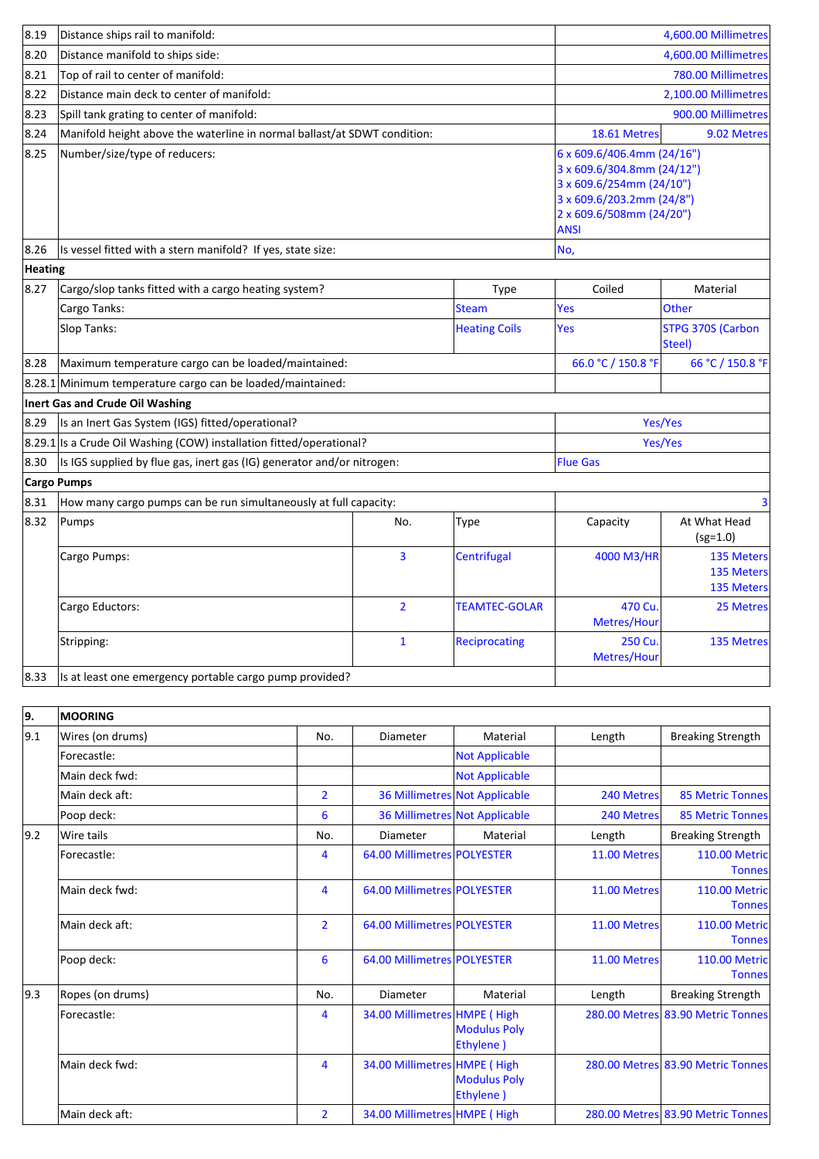| 8.19    | Distance ships rail to manifold:                                         |                |                      | 4,600.00 Millimetres                                                                                                                                         |                                        |
|---------|--------------------------------------------------------------------------|----------------|----------------------|--------------------------------------------------------------------------------------------------------------------------------------------------------------|----------------------------------------|
| 8.20    | Distance manifold to ships side:                                         |                |                      |                                                                                                                                                              | 4,600.00 Millimetres                   |
| 8.21    | Top of rail to center of manifold:                                       |                |                      |                                                                                                                                                              | 780.00 Millimetres                     |
| 8.22    | Distance main deck to center of manifold:                                |                |                      |                                                                                                                                                              | 2,100.00 Millimetres                   |
| 8.23    | Spill tank grating to center of manifold:                                |                | 900.00 Millimetres   |                                                                                                                                                              |                                        |
| 8.24    | Manifold height above the waterline in normal ballast/at SDWT condition: |                |                      | 18.61 Metres                                                                                                                                                 | 9.02 Metres                            |
| 8.25    | Number/size/type of reducers:                                            |                |                      | 6 x 609.6/406.4mm (24/16")<br>3 x 609.6/304.8mm (24/12")<br>3 x 609.6/254mm (24/10")<br>3 x 609.6/203.2mm (24/8")<br>2 x 609.6/508mm (24/20")<br><b>ANSI</b> |                                        |
| 8.26    | Is vessel fitted with a stern manifold? If yes, state size:              |                |                      | No,                                                                                                                                                          |                                        |
| Heating |                                                                          |                |                      |                                                                                                                                                              |                                        |
| 8.27    | Cargo/slop tanks fitted with a cargo heating system?                     |                | Type                 | Coiled                                                                                                                                                       | Material                               |
|         | Cargo Tanks:                                                             |                | <b>Steam</b>         | Yes                                                                                                                                                          | <b>Other</b>                           |
|         | Slop Tanks:                                                              |                | <b>Heating Coils</b> | Yes                                                                                                                                                          | <b>STPG 370S (Carbon</b><br>Steel)     |
| 8.28    | Maximum temperature cargo can be loaded/maintained:                      |                |                      | 66.0 °C / 150.8 °F                                                                                                                                           | 66 °C / 150.8 °F                       |
|         | 8.28.1 Minimum temperature cargo can be loaded/maintained:               |                |                      |                                                                                                                                                              |                                        |
|         | Inert Gas and Crude Oil Washing                                          |                |                      |                                                                                                                                                              |                                        |
| 8.29    | Is an Inert Gas System (IGS) fitted/operational?                         |                |                      | Yes/Yes                                                                                                                                                      |                                        |
|         | 8.29.1 Is a Crude Oil Washing (COW) installation fitted/operational?     |                |                      | Yes/Yes                                                                                                                                                      |                                        |
| 8.30    | Is IGS supplied by flue gas, inert gas (IG) generator and/or nitrogen:   |                |                      | <b>Flue Gas</b>                                                                                                                                              |                                        |
|         | <b>Cargo Pumps</b>                                                       |                |                      |                                                                                                                                                              |                                        |
| 8.31    | How many cargo pumps can be run simultaneously at full capacity:         |                |                      |                                                                                                                                                              | $\overline{3}$                         |
| 8.32    | Pumps                                                                    | No.            | Type                 | Capacity                                                                                                                                                     | At What Head<br>$(sg=1.0)$             |
|         | Cargo Pumps:                                                             | 3              | Centrifugal          | 4000 M3/HR                                                                                                                                                   | 135 Meters<br>135 Meters<br>135 Meters |
|         | Cargo Eductors:                                                          | $\overline{2}$ | <b>TEAMTEC-GOLAR</b> | 470 Cu.<br>Metres/Hour                                                                                                                                       | 25 Metres                              |
|         | Stripping:                                                               | $\mathbf{1}$   | <b>Reciprocating</b> | 250 Cu.<br>Metres/Hour                                                                                                                                       | 135 Metres                             |
| 8.33    | Is at least one emergency portable cargo pump provided?                  |                |                      |                                                                                                                                                              |                                        |

| 9.            | <b>MOORING</b>   |                |                              |                                  |              |                                       |
|---------------|------------------|----------------|------------------------------|----------------------------------|--------------|---------------------------------------|
| 9.1           | Wires (on drums) | No.            | Diameter                     | Material                         | Length       | <b>Breaking Strength</b>              |
|               | Forecastle:      |                |                              | <b>Not Applicable</b>            |              |                                       |
|               | Main deck fwd:   |                |                              | <b>Not Applicable</b>            |              |                                       |
|               | Main deck aft:   | $\overline{2}$ |                              | 36 Millimetres Not Applicable    | 240 Metres   | <b>85 Metric Tonnes</b>               |
|               | Poop deck:       | 6              |                              | 36 Millimetres Not Applicable    | 240 Metres   | <b>85 Metric Tonnes</b>               |
| $ 9.2\rangle$ | Wire tails       | No.            | Diameter                     | Material                         | Length       | <b>Breaking Strength</b>              |
|               | Forecastle:      | 4              | 64.00 Millimetres POLYESTER  |                                  | 11.00 Metres | 110.00 Metric<br><b>Tonnes</b>        |
|               | Main deck fwd:   | 4              | 64.00 Millimetres POLYESTER  |                                  | 11.00 Metres | 110.00 Metric<br><b>Tonnes</b>        |
|               | Main deck aft:   | $\overline{2}$ | 64.00 Millimetres POLYESTER  |                                  | 11.00 Metres | 110.00 Metric<br><b>Tonnes</b>        |
|               | Poop deck:       | 6              | 64.00 Millimetres POLYESTER  |                                  | 11.00 Metres | <b>110.00 Metric</b><br><b>Tonnes</b> |
| 9.3           | Ropes (on drums) | No.            | Diameter                     | Material                         | Length       | <b>Breaking Strength</b>              |
|               | Forecastle:      | 4              | 34.00 Millimetres HMPE (High | <b>Modulus Poly</b><br>Ethylene) |              | 280.00 Metres 83.90 Metric Tonnes     |
|               | Main deck fwd:   | 4              | 34.00 Millimetres HMPE (High | <b>Modulus Poly</b><br>Ethylene) |              | 280.00 Metres 83.90 Metric Tonnes     |
|               | Main deck aft:   | $\overline{2}$ | 34.00 Millimetres HMPE (High |                                  |              | 280.00 Metres 83.90 Metric Tonnes     |

J.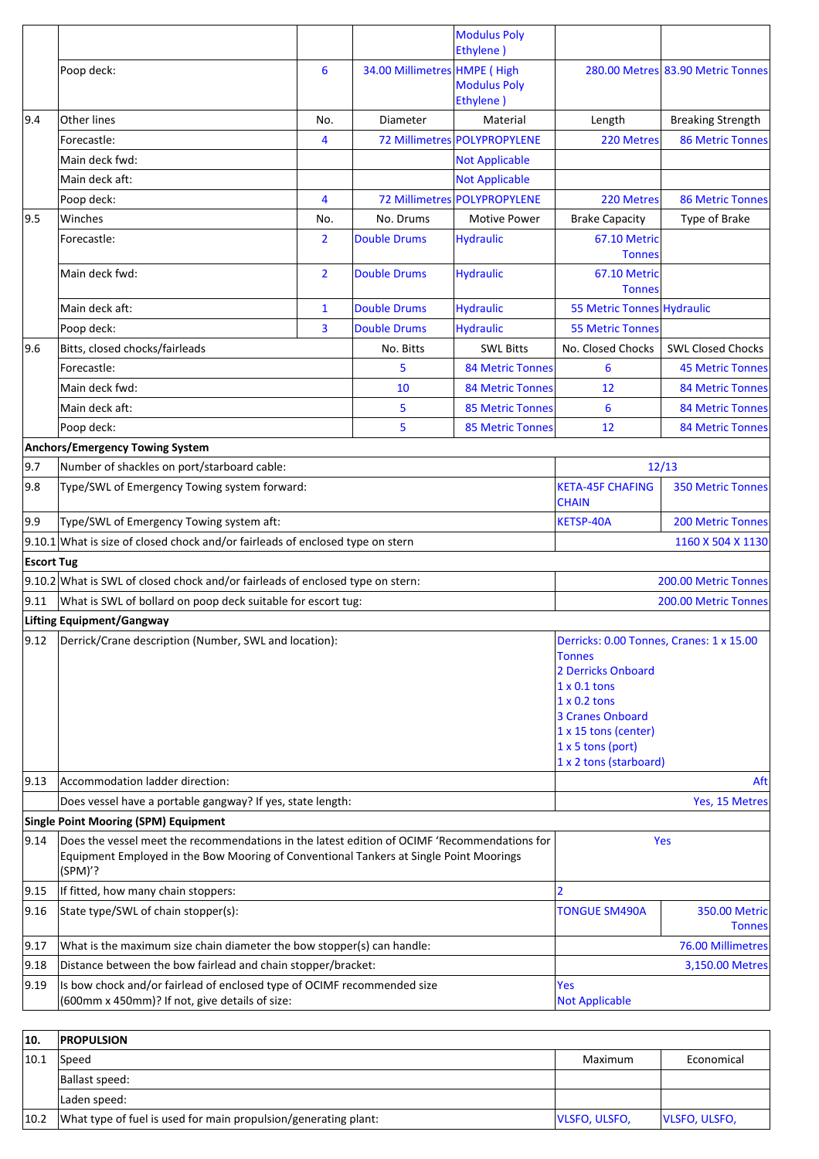|      |                                                                                                                                                                                                   |                                                              |                              | <b>Modulus Poly</b><br>Ethylene)                                                                                                                                                                                           |                               |                                   |
|------|---------------------------------------------------------------------------------------------------------------------------------------------------------------------------------------------------|--------------------------------------------------------------|------------------------------|----------------------------------------------------------------------------------------------------------------------------------------------------------------------------------------------------------------------------|-------------------------------|-----------------------------------|
|      | Poop deck:                                                                                                                                                                                        | 6                                                            | 34.00 Millimetres HMPE (High | <b>Modulus Poly</b>                                                                                                                                                                                                        |                               | 280.00 Metres 83.90 Metric Tonnes |
| 9.4  | Other lines                                                                                                                                                                                       | No.                                                          | Diameter                     | Ethylene)<br>Material                                                                                                                                                                                                      | Length                        | <b>Breaking Strength</b>          |
|      | Forecastle:                                                                                                                                                                                       | 4                                                            |                              | 72 Millimetres POLYPROPYLENE                                                                                                                                                                                               | 220 Metres                    | <b>86 Metric Tonnes</b>           |
|      | Main deck fwd:                                                                                                                                                                                    |                                                              |                              | <b>Not Applicable</b>                                                                                                                                                                                                      |                               |                                   |
|      | Main deck aft:                                                                                                                                                                                    |                                                              |                              | <b>Not Applicable</b>                                                                                                                                                                                                      |                               |                                   |
|      | Poop deck:                                                                                                                                                                                        | 4                                                            |                              | 72 Millimetres POLYPROPYLENE                                                                                                                                                                                               | 220 Metres                    | <b>86 Metric Tonnes</b>           |
| 9.5  | Winches                                                                                                                                                                                           | No.                                                          | No. Drums                    | <b>Motive Power</b>                                                                                                                                                                                                        | <b>Brake Capacity</b>         | Type of Brake                     |
|      | Forecastle:                                                                                                                                                                                       | $\overline{2}$                                               | <b>Double Drums</b>          | <b>Hydraulic</b>                                                                                                                                                                                                           | 67.10 Metric                  |                                   |
|      |                                                                                                                                                                                                   |                                                              |                              |                                                                                                                                                                                                                            | <b>Tonnes</b>                 |                                   |
|      | Main deck fwd:                                                                                                                                                                                    | $\overline{2}$                                               | <b>Double Drums</b>          | <b>Hydraulic</b>                                                                                                                                                                                                           | 67.10 Metric<br><b>Tonnes</b> |                                   |
|      | Main deck aft:                                                                                                                                                                                    | $\mathbf{1}$                                                 | <b>Double Drums</b>          | <b>Hydraulic</b>                                                                                                                                                                                                           | 55 Metric Tonnes Hydraulic    |                                   |
|      | Poop deck:                                                                                                                                                                                        | 3                                                            | <b>Double Drums</b>          | <b>Hydraulic</b>                                                                                                                                                                                                           | <b>55 Metric Tonnes</b>       |                                   |
| 9.6  | Bitts, closed chocks/fairleads                                                                                                                                                                    |                                                              | No. Bitts                    | <b>SWL Bitts</b>                                                                                                                                                                                                           | No. Closed Chocks             | <b>SWL Closed Chocks</b>          |
|      | Forecastle:                                                                                                                                                                                       |                                                              | 5                            | <b>84 Metric Tonnes</b>                                                                                                                                                                                                    | 6                             | <b>45 Metric Tonnes</b>           |
|      | Main deck fwd:                                                                                                                                                                                    |                                                              | 10                           | <b>84 Metric Tonnes</b>                                                                                                                                                                                                    | 12                            | <b>84 Metric Tonnes</b>           |
|      | Main deck aft:                                                                                                                                                                                    |                                                              | 5                            | <b>85 Metric Tonnes</b>                                                                                                                                                                                                    | 6                             | <b>84 Metric Tonnes</b>           |
|      | Poop deck:                                                                                                                                                                                        |                                                              | 5                            | <b>85 Metric Tonnes</b>                                                                                                                                                                                                    | 12                            | <b>84 Metric Tonnes</b>           |
|      | <b>Anchors/Emergency Towing System</b>                                                                                                                                                            |                                                              |                              |                                                                                                                                                                                                                            |                               |                                   |
| 9.7  | Number of shackles on port/starboard cable:                                                                                                                                                       |                                                              |                              |                                                                                                                                                                                                                            |                               | 12/13                             |
| 9.8  | Type/SWL of Emergency Towing system forward:                                                                                                                                                      |                                                              |                              | <b>KETA-45F CHAFING</b><br><b>CHAIN</b>                                                                                                                                                                                    | <b>350 Metric Tonnes</b>      |                                   |
| 9.9  | Type/SWL of Emergency Towing system aft:                                                                                                                                                          |                                                              |                              | <b>KETSP-40A</b>                                                                                                                                                                                                           | <b>200 Metric Tonnes</b>      |                                   |
|      | $9.10.1$ What is size of closed chock and/or fairleads of enclosed type on stern                                                                                                                  |                                                              |                              |                                                                                                                                                                                                                            |                               | 1160 X 504 X 1130                 |
|      | <b>Escort Tug</b>                                                                                                                                                                                 |                                                              |                              |                                                                                                                                                                                                                            |                               |                                   |
|      | 9.10.2 What is SWL of closed chock and/or fairleads of enclosed type on stern:                                                                                                                    |                                                              |                              |                                                                                                                                                                                                                            | 200.00 Metric Tonnes          |                                   |
| 9.11 | What is SWL of bollard on poop deck suitable for escort tug:                                                                                                                                      |                                                              |                              |                                                                                                                                                                                                                            |                               | 200.00 Metric Tonnes              |
|      | <b>Lifting Equipment/Gangway</b>                                                                                                                                                                  |                                                              |                              |                                                                                                                                                                                                                            |                               |                                   |
|      | $ 9.12 $ Derrick/Crane description (Number, SWL and location):                                                                                                                                    |                                                              |                              | Derricks: 0.00 Tonnes, Cranes: 1 x 15.00<br><b>Tonnes</b><br>2 Derricks Onboard<br>$1 \times 0.1$ tons<br>$1 \times 0.2$ tons<br>3 Cranes Onboard<br>1 x 15 tons (center)<br>$1 x 5$ tons (port)<br>1 x 2 tons (starboard) |                               |                                   |
| 9.13 | Accommodation ladder direction:                                                                                                                                                                   |                                                              |                              |                                                                                                                                                                                                                            |                               | Aft                               |
|      | Does vessel have a portable gangway? If yes, state length:                                                                                                                                        |                                                              |                              |                                                                                                                                                                                                                            |                               | Yes, 15 Metres                    |
|      | <b>Single Point Mooring (SPM) Equipment</b>                                                                                                                                                       |                                                              |                              |                                                                                                                                                                                                                            |                               |                                   |
| 9.14 | Does the vessel meet the recommendations in the latest edition of OCIMF 'Recommendations for<br>Equipment Employed in the Bow Mooring of Conventional Tankers at Single Point Moorings<br>(SPM)'? |                                                              |                              |                                                                                                                                                                                                                            | Yes                           |                                   |
| 9.15 | If fitted, how many chain stoppers:                                                                                                                                                               |                                                              |                              | $\overline{2}$                                                                                                                                                                                                             |                               |                                   |
| 9.16 | State type/SWL of chain stopper(s):                                                                                                                                                               |                                                              |                              |                                                                                                                                                                                                                            | <b>TONGUE SM490A</b>          | 350.00 Metric<br><b>Tonnes</b>    |
| 9.17 | What is the maximum size chain diameter the bow stopper(s) can handle:                                                                                                                            |                                                              |                              |                                                                                                                                                                                                                            | 76.00 Millimetres             |                                   |
| 9.18 |                                                                                                                                                                                                   | Distance between the bow fairlead and chain stopper/bracket: |                              |                                                                                                                                                                                                                            |                               | 3,150.00 Metres                   |
| 9.19 | Is bow chock and/or fairlead of enclosed type of OCIMF recommended size<br>(600mm x 450mm)? If not, give details of size:                                                                         |                                                              |                              | <b>Yes</b><br><b>Not Applicable</b>                                                                                                                                                                                        |                               |                                   |
|      |                                                                                                                                                                                                   |                                                              |                              |                                                                                                                                                                                                                            |                               |                                   |

| 10.  | <b>PROPULSION</b>                                               |                      |                      |
|------|-----------------------------------------------------------------|----------------------|----------------------|
| 10.1 | Speed                                                           | Maximum              | Economical           |
|      | Ballast speed:                                                  |                      |                      |
|      | Laden speed:                                                    |                      |                      |
| 10.2 | What type of fuel is used for main propulsion/generating plant: | <b>VLSFO, ULSFO,</b> | <b>VLSFO, ULSFO,</b> |